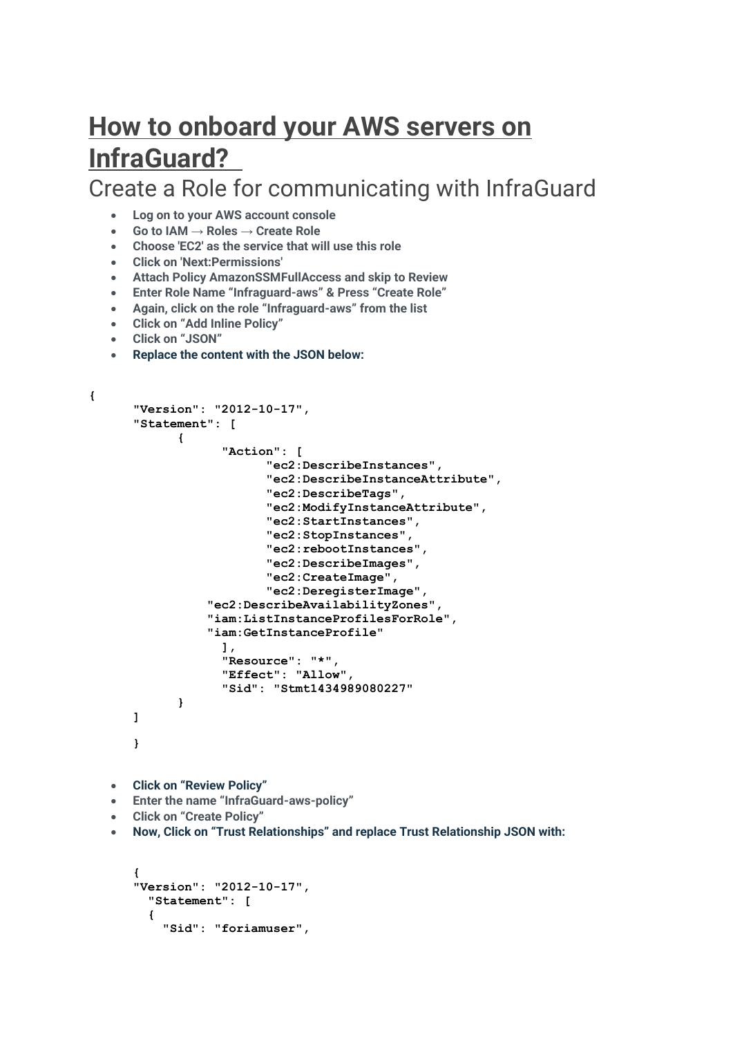# **How to onboard your AWS servers on InfraGuard?**

Create a Role for communicating with InfraGuard

- **Log on to your AWS account console**
- **Go to IAM → Roles → Create Role**
- **Choose 'EC2' as the service that will use this role**
- **Click on 'Next:Permissions'**
- **Attach Policy AmazonSSMFullAccess and skip to Review**
- **Enter Role Name "Infraguard-aws" & Press "Create Role"**
- **Again, click on the role "Infraguard-aws" from the list**
- **Click on "Add Inline Policy"**
- **Click on "JSON"**
- **Replace the content with the JSON below:**

```
{
      "Version": "2012-10-17",
      "Statement": [
             {
                   "Action": [
                          "ec2:DescribeInstances",
                          "ec2:DescribeInstanceAttribute",
                          "ec2:DescribeTags",
                          "ec2:ModifyInstanceAttribute",
                          "ec2:StartInstances",
                          "ec2:StopInstances",
                          "ec2:rebootInstances",
                          "ec2:DescribeImages",
                          "ec2:CreateImage",
                          "ec2:DeregisterImage",
                  "ec2:DescribeAvailabilityZones",
                  "iam:ListInstanceProfilesForRole",
                  "iam:GetInstanceProfile"
                   ],
                   "Resource": "*",
                   "Effect": "Allow",
                   "Sid": "Stmt1434989080227"
             }
      ]
      }
   • Click on "Review Policy"
   • Enter the name "InfraGuard-aws-policy"
   • Click on "Create Policy"
   • Now, Click on "Trust Relationships" and replace Trust Relationship JSON with:
```

```
{
"Version": "2012-10-17",
 "Statement": [
  {
   "Sid": "foriamuser",
```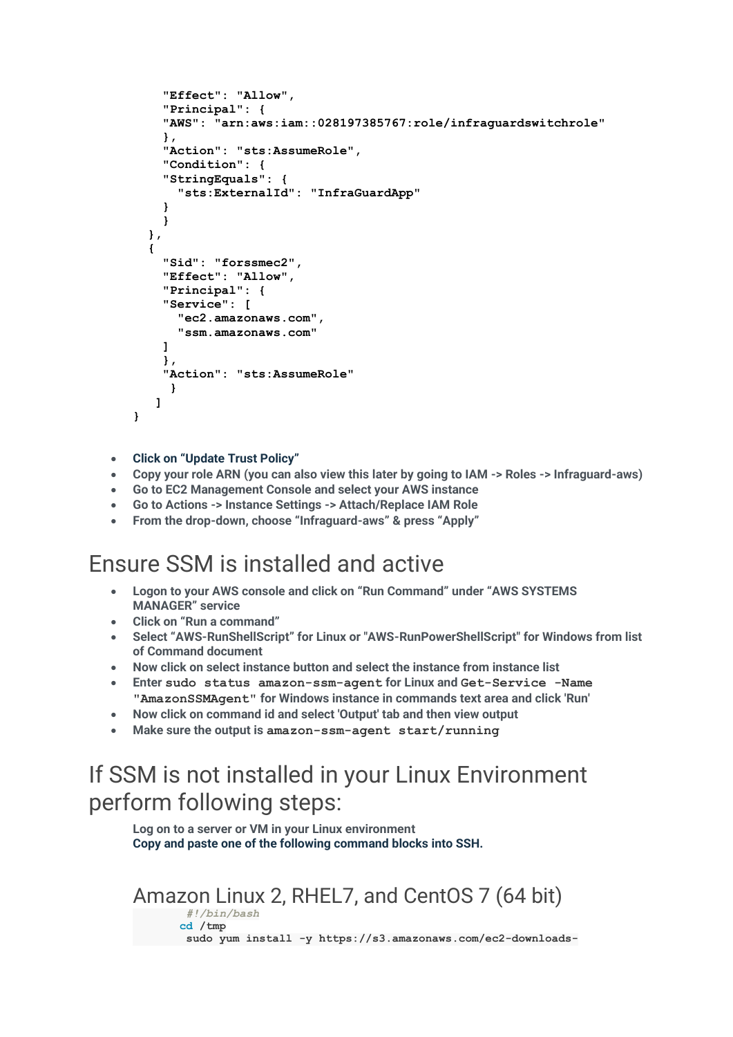```
"Effect": "Allow",
    "Principal": {
    "AWS": "arn:aws:iam::028197385767:role/infraguardswitchrole"
    },
    "Action": "sts:AssumeRole",
    "Condition": {
    "StringEquals": {
      "sts:ExternalId": "InfraGuardApp"
    }
    }
  },
  {
    "Sid": "forssmec2",
    "Effect": "Allow",
    "Principal": {
    "Service": [
      "ec2.amazonaws.com",
      "ssm.amazonaws.com"
    ]
    },
    "Action": "sts:AssumeRole"
     }
   ]
}
```
- **Click on "Update Trust Policy"**
- **Copy your role ARN (you can also view this later by going to IAM -> Roles -> Infraguard-aws)**
- **Go to EC2 Management Console and select your AWS instance**
- **Go to Actions -> Instance Settings -> Attach/Replace IAM Role**
- **From the drop-down, choose "Infraguard-aws" & press "Apply"**

# Ensure SSM is installed and active

- **Logon to your AWS console and click on "Run Command" under "AWS SYSTEMS MANAGER" service**
- **Click on "Run a command"**
- **Select "AWS-RunShellScript" for Linux or "AWS-RunPowerShellScript" for Windows from list of Command document**
- **Now click on select instance button and select the instance from instance list**
- **Enter sudo status amazon-ssm-agent for Linux and Get-Service -Name "AmazonSSMAgent" for Windows instance in commands text area and click 'Run'**
- **Now click on command id and select 'Output' tab and then view output**
- **Make sure the output is amazon-ssm-agent start/running**

# If SSM is not installed in your Linux Environment perform following steps:

**Log on to a server or VM in your Linux environment Copy and paste one of the following command blocks into SSH.**

### Amazon Linux 2, RHEL7, and CentOS 7 (64 bit)

*#!/bin/bash*  **cd /tmp sudo yum install -y https://s3.amazonaws.com/ec2-downloads-**